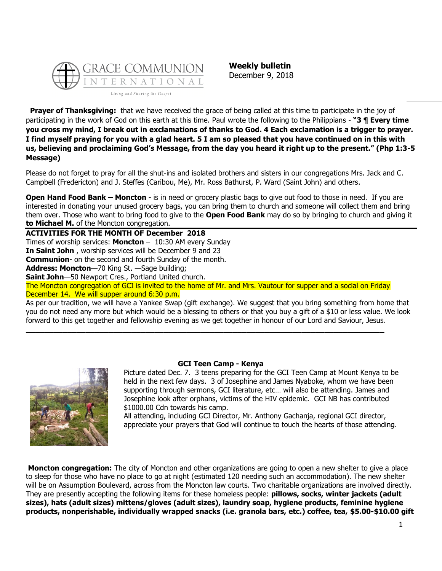

**Weekly bulletin** December 9, 2018

**Prayer of Thanksgiving:** that we have received the grace of being called at this time to participate in the joy of participating in the work of God on this earth at this time. Paul wrote the following to the Philippians - **"3 ¶ Every time you cross my mind, I break out in exclamations of thanks to God. 4 Each exclamation is a trigger to prayer. I find myself praying for you with a glad heart. 5 I am so pleased that you have continued on in this with us, believing and proclaiming God's Message, from the day you heard it right up to the present." (Php 1:3-5 Message)**

Please do not forget to pray for all the shut-ins and isolated brothers and sisters in our congregations Mrs. Jack and C. Campbell (Fredericton) and J. Steffes (Caribou, Me), Mr. Ross Bathurst, P. Ward (Saint John) and others.

**Open Hand Food Bank – Moncton** - is in need or grocery plastic bags to give out food to those in need. If you are interested in donating your unused grocery bags, you can bring them to church and someone will collect them and bring them over. Those who want to bring food to give to the **Open Food Bank** may do so by bringing to church and giving it **to Michael M.** of the Moncton congregation.

**ACTIVITIES FOR THE MONTH OF December 2018** Times of worship services: **Moncton** – 10:30 AM every Sunday **In Saint John** , worship services will be December 9 and 23 **Communion**- on the second and fourth Sunday of the month. **Address: Moncton**—70 King St. —Sage building; **Saint John**—50 Newport Cres., Portland United church.

The Moncton congregation of GCI is invited to the home of Mr. and Mrs. Vautour for supper and a social on Friday December 14. We will supper around 6:30 p.m.

**\_\_\_\_\_\_\_\_\_\_\_\_\_\_\_\_\_\_\_\_\_\_\_\_\_\_\_\_\_\_\_\_\_\_\_\_\_\_\_\_\_\_\_\_\_\_\_\_\_\_\_\_\_\_\_\_\_\_\_\_\_\_\_\_\_\_\_\_\_\_\_\_\_\_\_\_\_\_**

As per our tradition, we will have a Yankee Swap (gift exchange). We suggest that you bring something from home that you do not need any more but which would be a blessing to others or that you buy a gift of a \$10 or less value. We look forward to this get together and fellowship evening as we get together in honour of our Lord and Saviour, Jesus.



## **GCI Teen Camp - Kenya**

Picture dated Dec. 7. 3 teens preparing for the GCI Teen Camp at Mount Kenya to be held in the next few days. 3 of Josephine and James Nyaboke, whom we have been supporting through sermons, GCI literature, etc… will also be attending. James and Josephine look after orphans, victims of the HIV epidemic. GCI NB has contributed \$1000.00 Cdn towards his camp.

All attending, including GCI Director, Mr. Anthony Gachanja, regional GCI director, appreciate your prayers that God will continue to touch the hearts of those attending.

**Moncton congregation:** The city of Moncton and other organizations are going to open a new shelter to give a place to sleep for those who have no place to go at night (estimated 120 needing such an accommodation). The new shelter will be on Assumption Boulevard, across from the Moncton law courts. Two charitable organizations are involved directly. They are presently accepting the following items for these homeless people: **pillows, socks, winter jackets (adult sizes), hats (adult sizes) mittens/gloves (adult sizes), laundry soap, hygiene products, feminine hygiene products, nonperishable, individually wrapped snacks (i.e. granola bars, etc.) coffee, tea, \$5.00-\$10.00 gift**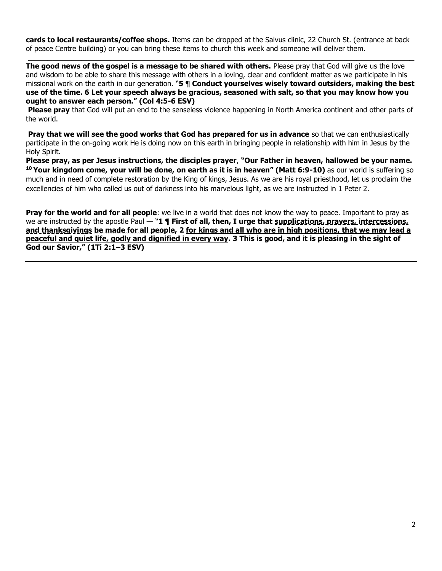**cards to local restaurants/coffee shops.** Items can be dropped at the Salvus clinic, 22 Church St. (entrance at back of peace Centre building) or you can bring these items to church this week and someone will deliver them.

**\_\_\_\_\_\_\_\_\_\_\_\_\_\_\_\_\_\_\_\_\_\_\_\_\_\_\_\_\_\_\_\_\_\_\_\_\_\_\_\_\_\_\_\_\_\_\_\_\_\_\_\_\_\_\_\_\_\_\_\_\_\_\_\_\_\_\_\_\_\_\_\_\_\_\_\_\_\_\_\_**

**The good news of the gospel is a message to be shared with others.** Please pray that God will give us the love and wisdom to be able to share this message with others in a loving, clear and confident matter as we participate in his missional work on the earth in our generation. "**5 ¶ Conduct yourselves wisely toward outsiders, making the best use of the time. 6 Let your speech always be gracious, seasoned with salt, so that you may know how you ought to answer each person." (Col 4:5-6 ESV)**

**Please pray** that God will put an end to the senseless violence happening in North America continent and other parts of the world.

**Pray that we will see the good works that God has prepared for us in advance** so that we can enthusiastically participate in the on-going work He is doing now on this earth in bringing people in relationship with him in Jesus by the Holy Spirit.

**Please pray, as per Jesus instructions, the disciples prayer**, **"Our Father in heaven, hallowed be your name. <sup>10</sup> Your kingdom come, your will be done, on earth as it is in heaven" (Matt 6:9-10)** as our world is suffering so much and in need of complete restoration by the King of kings, Jesus. As we are his royal priesthood, let us proclaim the excellencies of him who called us out of darkness into his marvelous light, as we are instructed in 1 Peter 2.

**Pray for the world and for all people**: we live in a world that does not know the way to peace. Important to pray as we are instructed by the apostle Paul — "1 **¶ First of all, then, I urge that supplications, prayers, intercessions, and thanksgivings be made for all people, 2 for kings and all who are in high positions, that we may lead a peaceful and quiet life, godly and dignified in every way. 3 This is good, and it is pleasing in the sight of God our Savior," (1Ti 2:1–3 ESV)**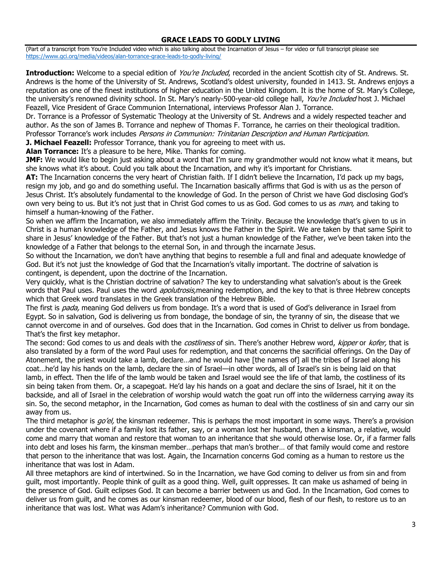## **GRACE LEADS TO GODLY LIVING**

(Part of a transcript from You're Included video which is also talking about the Incarnation of Jesus – for video or full transcript please see <https://www.gci.org/media/videos/alan-torrance-grace-leads-to-godly-living/>

**Introduction:** Welcome to a special edition of *You're Included*, recorded in the ancient Scottish city of St. Andrews. St. Andrews is the home of the University of St. Andrews, Scotland's oldest university, founded in 1413. St. Andrews enjoys a reputation as one of the finest institutions of higher education in the United Kingdom. It is the home of St. Mary's College, the university's renowned divinity school. In St. Mary's nearly-500-year-old college hall, You're Included host J. Michael Feazell, Vice President of Grace Communion International, interviews Professor Alan J. Torrance.

Dr. Torrance is a Professor of Systematic Theology at the University of St. Andrews and a widely respected teacher and author. As the son of James B. Torrance and nephew of Thomas F. Torrance, he carries on their theological tradition. Professor Torrance's work includes Persons in Communion: Trinitarian Description and Human Participation.

**J. Michael Feazell:** Professor Torrance, thank you for agreeing to meet with us.

**Alan Torrance:** It's a pleasure to be here, Mike. Thanks for coming.

**JMF:** We would like to begin just asking about a word that I'm sure my grandmother would not know what it means, but she knows what it's about. Could you talk about the Incarnation, and why it's important for Christians.

**AT:** The Incarnation concerns the very heart of Christian faith. If I didn't believe the Incarnation, I'd pack up my bags, resign my job, and go and do something useful. The Incarnation basically affirms that God is with us as the person of Jesus Christ. It's absolutely fundamental to the knowledge of God. In the person of Christ we have God disclosing God's own very being to us. But it's not just that in Christ God comes to us as God. God comes to us as man, and taking to himself a human-knowing of the Father.

So when we affirm the Incarnation, we also immediately affirm the Trinity. Because the knowledge that's given to us in Christ is a human knowledge of the Father, and Jesus knows the Father in the Spirit. We are taken by that same Spirit to share in Jesus' knowledge of the Father. But that's not just a human knowledge of the Father, we've been taken into the knowledge of a Father that belongs to the eternal Son, in and through the incarnate Jesus.

So without the Incarnation, we don't have anything that begins to resemble a full and final and adequate knowledge of God. But it's not just the knowledge of God that the Incarnation's vitally important. The doctrine of salvation is contingent, is dependent, upon the doctrine of the Incarnation.

Very quickly, what is the Christian doctrine of salvation? The key to understanding what salvation's about is the Greek words that Paul uses. Paul uses the word *apolutrosis*, meaning redemption, and the key to that is three Hebrew concepts which that Greek word translates in the Greek translation of the Hebrew Bible.

The first is *pada*, meaning God delivers us from bondage. It's a word that is used of God's deliverance in Israel from Egypt. So in salvation, God is delivering us from bondage, the bondage of sin, the tyranny of sin, the disease that we cannot overcome in and of ourselves. God does that in the Incarnation. God comes in Christ to deliver us from bondage. That's the first key metaphor.

The second: God comes to us and deals with the *costliness* of sin. There's another Hebrew word, kipper or kofer, that is also translated by a form of the word Paul uses for redemption, and that concerns the sacrificial offerings. On the Day of Atonement, the priest would take a lamb, declare…and he would have [the names of] all the tribes of Israel along his coat…he'd lay his hands on the lamb, declare the sin of Israel—in other words, all of Israel's sin is being laid on that lamb, in effect. Then the life of the lamb would be taken and Israel would see the life of that lamb, the costliness of its sin being taken from them. Or, a scapegoat. He'd lay his hands on a goat and declare the sins of Israel, hit it on the backside, and all of Israel in the celebration of worship would watch the goat run off into the wilderness carrying away its sin. So, the second metaphor, in the Incarnation, God comes as human to deal with the costliness of sin and carry our sin away from us.

The third metaphor is go'el, the kinsman redeemer. This is perhaps the most important in some ways. There's a provision under the covenant where if a family lost its father, say, or a woman lost her husband, then a kinsman, a relative, would come and marry that woman and restore that woman to an inheritance that she would otherwise lose. Or, if a farmer falls into debt and loses his farm, the kinsman member…perhaps that man's brother… of that family would come and restore that person to the inheritance that was lost. Again, the Incarnation concerns God coming as a human to restore us the inheritance that was lost in Adam.

All three metaphors are kind of intertwined. So in the Incarnation, we have God coming to deliver us from sin and from guilt, most importantly. People think of guilt as a good thing. Well, guilt oppresses. It can make us ashamed of being in the presence of God. Guilt eclipses God. It can become a barrier between us and God. In the Incarnation, God comes to deliver us from guilt, and he comes as our kinsman redeemer, blood of our blood, flesh of our flesh, to restore us to an inheritance that was lost. What was Adam's inheritance? Communion with God.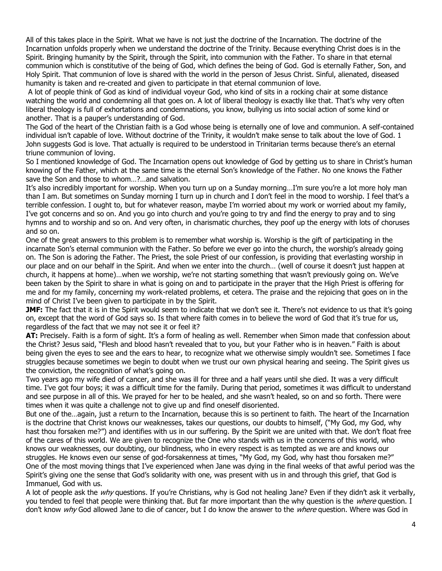All of this takes place in the Spirit. What we have is not just the doctrine of the Incarnation. The doctrine of the Incarnation unfolds properly when we understand the doctrine of the Trinity. Because everything Christ does is in the Spirit. Bringing humanity by the Spirit, through the Spirit, into communion with the Father. To share in that eternal communion which is constitutive of the being of God, which defines the being of God. God is eternally Father, Son, and Holy Spirit. That communion of love is shared with the world in the person of Jesus Christ. Sinful, alienated, diseased humanity is taken and re-created and given to participate in that eternal communion of love.

A lot of people think of God as kind of individual voyeur God, who kind of sits in a rocking chair at some distance watching the world and condemning all that goes on. A lot of liberal theology is exactly like that. That's why very often liberal theology is full of exhortations and condemnations, you know, bullying us into social action of some kind or another. That is a pauper's understanding of God.

The God of the heart of the Christian faith is a God whose being is eternally one of love and communion. A self-contained individual isn't capable of love. Without doctrine of the Trinity, it wouldn't make sense to talk about the love of God. 1 John suggests God is love. That actually is required to be understood in Trinitarian terms because there's an eternal triune communion of loving.

So I mentioned knowledge of God. The Incarnation opens out knowledge of God by getting us to share in Christ's human knowing of the Father, which at the same time is the eternal Son's knowledge of the Father. No one knows the Father save the Son and those to whom…?…and salvation.

It's also incredibly important for worship. When you turn up on a Sunday morning…I'm sure you're a lot more holy man than I am. But sometimes on Sunday morning I turn up in church and I don't feel in the mood to worship. I feel that's a terrible confession. I ought to, but for whatever reason, maybe I'm worried about my work or worried about my family, I've got concerns and so on. And you go into church and you're going to try and find the energy to pray and to sing hymns and to worship and so on. And very often, in charismatic churches, they poof up the energy with lots of choruses and so on.

One of the great answers to this problem is to remember what worship is. Worship is the gift of participating in the incarnate Son's eternal communion with the Father. So before we ever go into the church, the worship's already going on. The Son is adoring the Father. The Priest, the sole Priest of our confession, is providing that everlasting worship in our place and on our behalf in the Spirit. And when we enter into the church… (well of course it doesn't just happen at church, it happens at home)…when we worship, we're not starting something that wasn't previously going on. We've been taken by the Spirit to share in what is going on and to participate in the prayer that the High Priest is offering for me and for my family, concerning my work-related problems, et cetera. The praise and the rejoicing that goes on in the mind of Christ I've been given to participate in by the Spirit.

**JMF:** The fact that it is in the Spirit would seem to indicate that we don't see it. There's not evidence to us that it's going on, except that the word of God says so. Is that where faith comes in to believe the word of God that it's true for us, regardless of the fact that we may not see it or feel it?

**AT:** Precisely. Faith is a form of sight. It's a form of healing as well. Remember when Simon made that confession about the Christ? Jesus said, "Flesh and blood hasn't revealed that to you, but your Father who is in heaven." Faith is about being given the eyes to see and the ears to hear, to recognize what we otherwise simply wouldn't see. Sometimes I face struggles because sometimes we begin to doubt when we trust our own physical hearing and seeing. The Spirit gives us the conviction, the recognition of what's going on.

Two years ago my wife died of cancer, and she was ill for three and a half years until she died. It was a very difficult time. I've got four boys; it was a difficult time for the family. During that period, sometimes it was difficult to understand and see purpose in all of this. We prayed for her to be healed, and she wasn't healed, so on and so forth. There were times when it was quite a challenge not to give up and find oneself disoriented.

But one of the…again, just a return to the Incarnation, because this is so pertinent to faith. The heart of the Incarnation is the doctrine that Christ knows our weaknesses, takes our questions, our doubts to himself, ("My God, my God, why hast thou forsaken me?") and identifies with us in our suffering. By the Spirit we are united with that. We don't float free of the cares of this world. We are given to recognize the One who stands with us in the concerns of this world, who knows our weaknesses, our doubting, our blindness, who in every respect is as tempted as we are and knows our struggles. He knows even our sense of god-forsakenness at times, "My God, my God, why hast thou forsaken me?" One of the most moving things that I've experienced when Jane was dying in the final weeks of that awful period was the Spirit's giving one the sense that God's solidarity with one, was present with us in and through this grief, that God is Immanuel, God with us.

A lot of people ask the  $w/v$  questions. If you're Christians, why is God not healing Jane? Even if they didn't ask it verbally, you tended to feel that people were thinking that. But far more important than the why question is the *where* question. I don't know why God allowed Jane to die of cancer, but I do know the answer to the where question. Where was God in